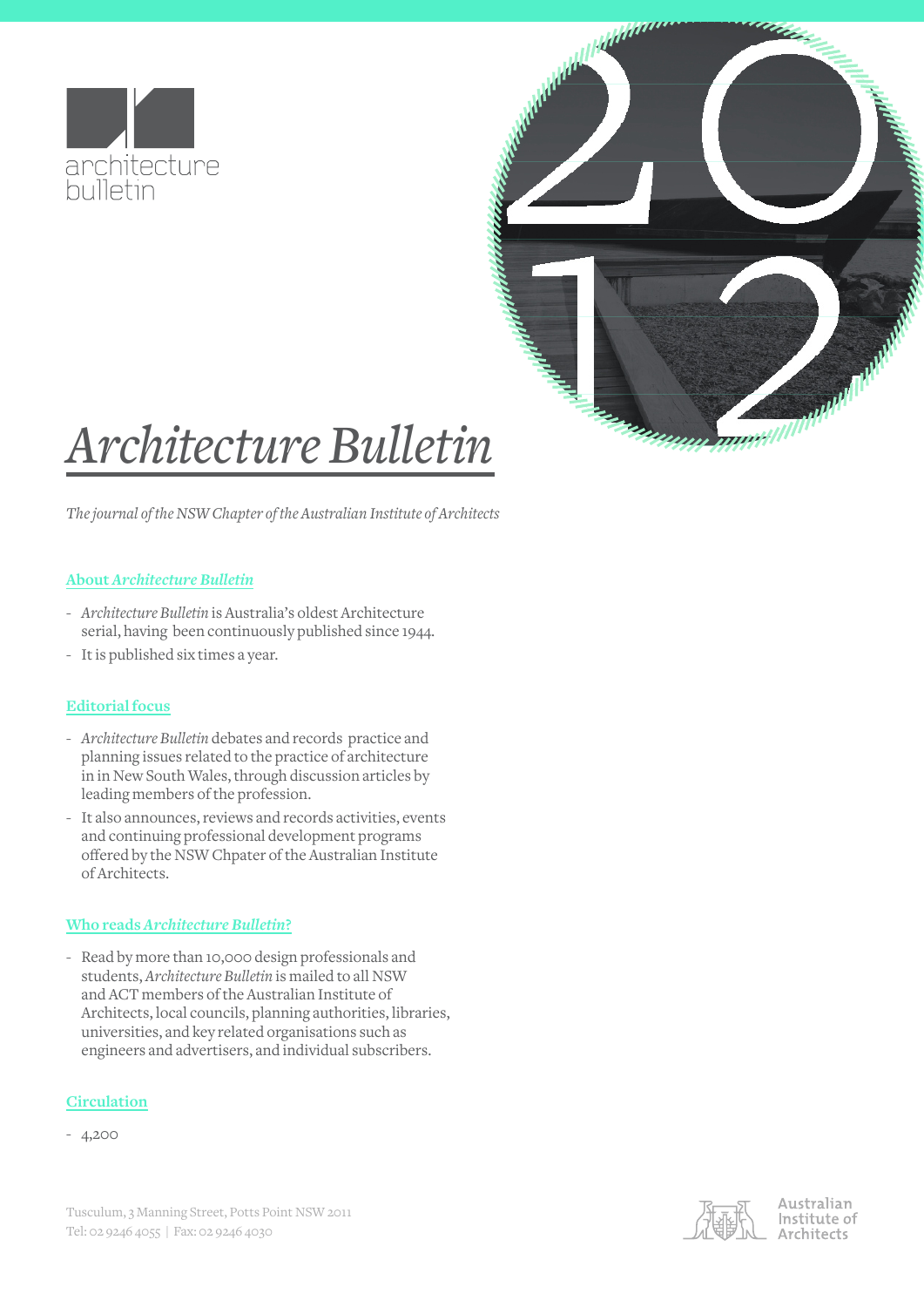



# *Architecture Bulletin*

*The journal of the NSW Chapter of the Australian Institute of Architects* 

# **About** *Architecture Bulletin*

- *Architecture Bulletin* is Australia's oldest Architecture serial, having been continuously published since 1944.
- It is published six times a year.

# **Editorial focus**

- *Architecture Bulletin* debates and records practice and planning issues related to the practice of architecture in in New South Wales, through discussion articles by leading members of the profession.
- It also announces, reviews and records activities, events and continuing professional development programs offered by the NSW Chpater of the Australian Institute of Architects.

# **Who reads** *Architecture Bulletin***?**

- Read by more than 10,000 design professionals and students, *Architecture Bulletin* is mailed to all NSW and ACT members of the Australian Institute of Architects, local councils, planning authorities, libraries, universities, and key related organisations such as engineers and advertisers, and individual subscribers.

# **Circulation**

- 4,200



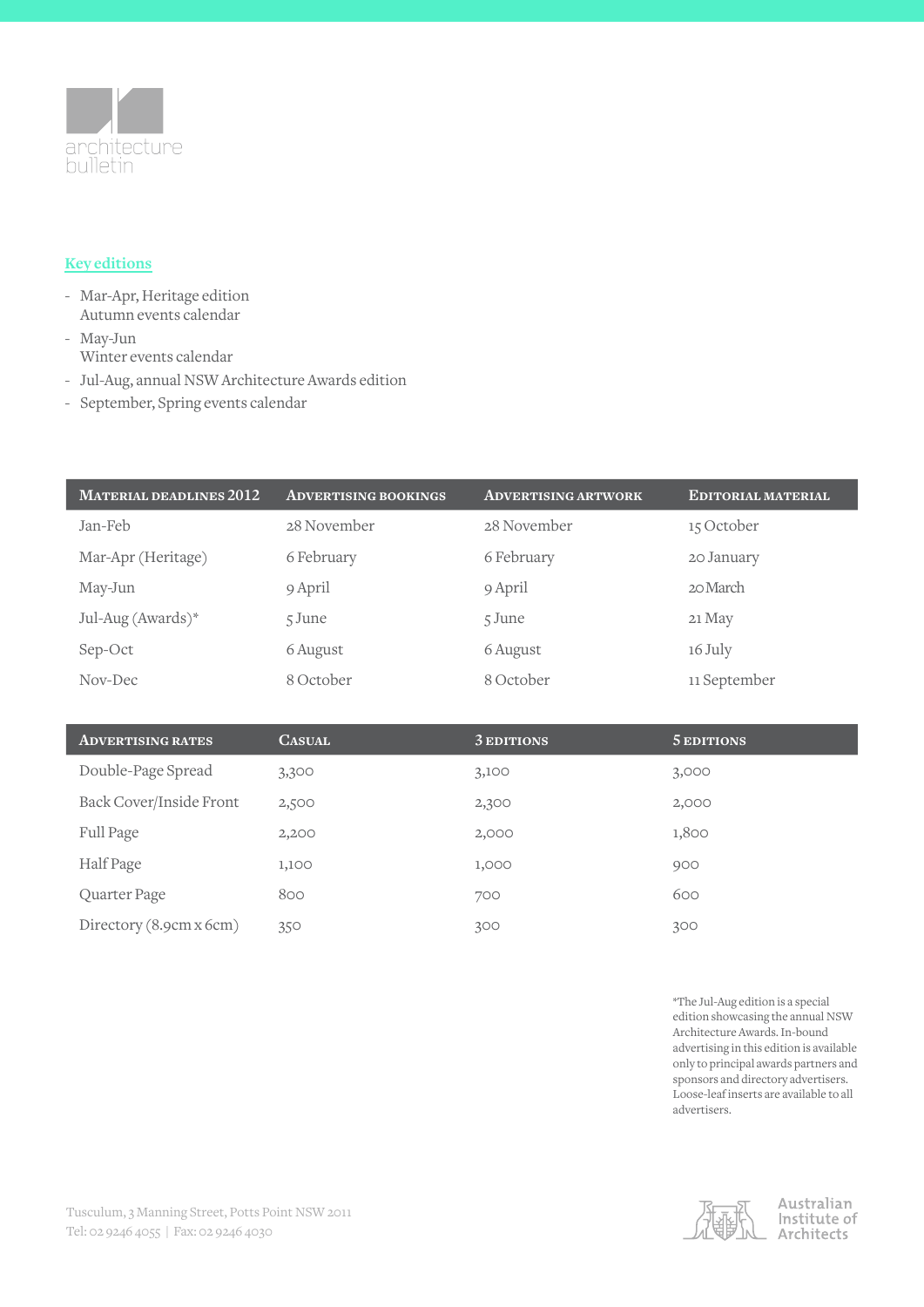

# **Key editions**

- Mar-Apr, Heritage edition Autumn events calendar
- May-Jun Winter events calendar
- Jul-Aug, annual NSW Architecture Awards edition
- September, Spring events calendar

| <b>MATERIAL DEADLINES 2012</b> | <b>ADVERTISING BOOKINGS</b> | <b>ADVERTISING ARTWORK</b> | EDITORIAL MATERIAL |
|--------------------------------|-----------------------------|----------------------------|--------------------|
| Jan-Feb                        | 28 November                 | 28 November                | 15 October         |
| Mar-Apr (Heritage)             | 6 February                  | 6 February                 | 20 January         |
| May-Jun                        | 9 April                     | 9 April                    | 20 March           |
| Jul-Aug (Awards)*              | 5 June                      | 5 June                     | 21 May             |
| Sep-Oct                        | 6 August                    | 6 August                   | 16 July            |
| Nov-Dec                        | 8 October                   | 8 October                  | 11 September       |

| <b>ADVERTISING RATES</b> | <b>CASUAL</b> | 3 EDITIONS | 5 EDITIONS |
|--------------------------|---------------|------------|------------|
| Double-Page Spread       | 3,300         | 3,100      | 3,000      |
| Back Cover/Inside Front  | 2,500         | 2,300      | 2,000      |
| Full Page                | 2,200         | 2,000      | 1,800      |
| Half Page                | 1,100         | 1,000      | 900        |
| Quarter Page             | 800           | 700        | 600        |
| Directory (8.9cm x 6cm)  | 350           | 300        | 300        |

\*The Jul-Aug edition is a special edition showcasing the annual NSW Architecture Awards. In-bound advertising in this edition is available only to principal awards partners and sponsors and directory advertisers. Loose-leaf inserts are available to all advertisers.



#### Australian Institute of Architects